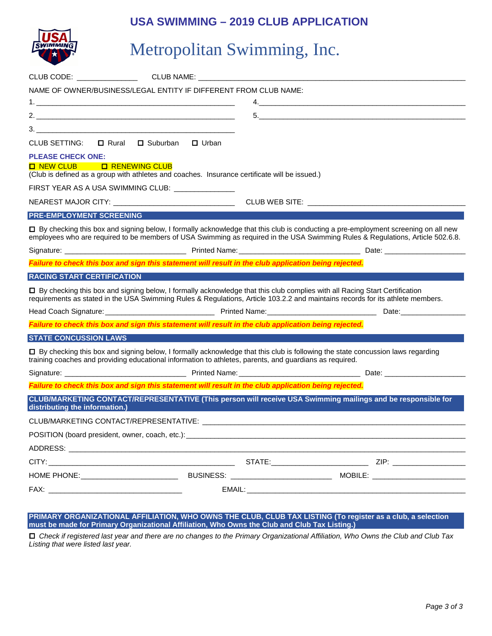# **USA SWIMMING – 2019 CLUB APPLICATION**



# Metropolitan Swimming, Inc.

| CLUB CODE: A CLUB CODE:           | CLUB NAME: WE ARREST A STATE AND THE STATE OF THE STATE OF THE STATE OF THE STATE OF THE STATE OF THE STATE OF                  |                                                                                                                                                                                                                                             |                                                                                                                                                                                                                                                                       |
|-----------------------------------|---------------------------------------------------------------------------------------------------------------------------------|---------------------------------------------------------------------------------------------------------------------------------------------------------------------------------------------------------------------------------------------|-----------------------------------------------------------------------------------------------------------------------------------------------------------------------------------------------------------------------------------------------------------------------|
|                                   | NAME OF OWNER/BUSINESS/LEGAL ENTITY IF DIFFERENT FROM CLUB NAME:                                                                |                                                                                                                                                                                                                                             |                                                                                                                                                                                                                                                                       |
|                                   |                                                                                                                                 |                                                                                                                                                                                                                                             |                                                                                                                                                                                                                                                                       |
|                                   |                                                                                                                                 |                                                                                                                                                                                                                                             |                                                                                                                                                                                                                                                                       |
|                                   |                                                                                                                                 |                                                                                                                                                                                                                                             |                                                                                                                                                                                                                                                                       |
| CLUB SETTING:                     | □ Rural □ Suburban<br>$\Box$ Urban                                                                                              |                                                                                                                                                                                                                                             |                                                                                                                                                                                                                                                                       |
| <b>PLEASE CHECK ONE:</b>          |                                                                                                                                 |                                                                                                                                                                                                                                             |                                                                                                                                                                                                                                                                       |
| <b>O</b> NEW CLUB                 | <b>O RENEWING CLUB</b><br>(Club is defined as a group with athletes and coaches. Insurance certificate will be issued.)         |                                                                                                                                                                                                                                             |                                                                                                                                                                                                                                                                       |
|                                   | FIRST YEAR AS A USA SWIMMING CLUB: NAME OF STREET                                                                               |                                                                                                                                                                                                                                             |                                                                                                                                                                                                                                                                       |
|                                   | NEAREST MAJOR CITY: ___________________________________                                                                         | CLUB WEB SITE: __________________________                                                                                                                                                                                                   |                                                                                                                                                                                                                                                                       |
| <b>PRE-EMPLOYMENT SCREENING</b>   |                                                                                                                                 |                                                                                                                                                                                                                                             |                                                                                                                                                                                                                                                                       |
|                                   |                                                                                                                                 |                                                                                                                                                                                                                                             | □ By checking this box and signing below, I formally acknowledge that this club is conducting a pre-employment screening on all new<br>employees who are required to be members of USA Swimming as required in the USA Swimming Rules & Regulations, Article 502.6.8. |
|                                   |                                                                                                                                 |                                                                                                                                                                                                                                             |                                                                                                                                                                                                                                                                       |
|                                   |                                                                                                                                 | Failure to check this box and sign this statement will result in the club application being rejected.                                                                                                                                       |                                                                                                                                                                                                                                                                       |
| <b>RACING START CERTIFICATION</b> |                                                                                                                                 |                                                                                                                                                                                                                                             |                                                                                                                                                                                                                                                                       |
|                                   |                                                                                                                                 | □ By checking this box and signing below, I formally acknowledge that this club complies with all Racing Start Certification                                                                                                                | requirements as stated in the USA Swimming Rules & Regulations, Article 103.2.2 and maintains records for its athlete members.                                                                                                                                        |
|                                   |                                                                                                                                 |                                                                                                                                                                                                                                             |                                                                                                                                                                                                                                                                       |
|                                   |                                                                                                                                 | Failure to check this box and sign this statement will result in the club application being rejected.                                                                                                                                       |                                                                                                                                                                                                                                                                       |
| <b>STATE CONCUSSION LAWS</b>      |                                                                                                                                 |                                                                                                                                                                                                                                             |                                                                                                                                                                                                                                                                       |
|                                   |                                                                                                                                 | □ By checking this box and signing below, I formally acknowledge that this club is following the state concussion laws regarding<br>training coaches and providing educational information to athletes, parents, and guardians as required. |                                                                                                                                                                                                                                                                       |
|                                   |                                                                                                                                 |                                                                                                                                                                                                                                             |                                                                                                                                                                                                                                                                       |
|                                   |                                                                                                                                 | Failure to check this box and sign this statement will result in the club application being rejected.                                                                                                                                       |                                                                                                                                                                                                                                                                       |
| distributing the information.)    | $\mathcal{L}^{\text{max}}_{\text{max}}$ and $\mathcal{L}^{\text{max}}_{\text{max}}$ and $\mathcal{L}^{\text{max}}_{\text{max}}$ |                                                                                                                                                                                                                                             | CLUB/MARKETING CONTACT/REPRESENTATIVE (This person will receive USA Swimming mailings and be responsible for                                                                                                                                                          |
|                                   |                                                                                                                                 | CLUB/MARKETING CONTACT/REPRESENTATIVE:                                                                                                                                                                                                      |                                                                                                                                                                                                                                                                       |
|                                   |                                                                                                                                 |                                                                                                                                                                                                                                             |                                                                                                                                                                                                                                                                       |
|                                   |                                                                                                                                 |                                                                                                                                                                                                                                             |                                                                                                                                                                                                                                                                       |
|                                   |                                                                                                                                 |                                                                                                                                                                                                                                             |                                                                                                                                                                                                                                                                       |
|                                   |                                                                                                                                 |                                                                                                                                                                                                                                             |                                                                                                                                                                                                                                                                       |
|                                   |                                                                                                                                 |                                                                                                                                                                                                                                             |                                                                                                                                                                                                                                                                       |
|                                   |                                                                                                                                 |                                                                                                                                                                                                                                             |                                                                                                                                                                                                                                                                       |

**PRIMARY ORGANIZATIONAL AFFILIATION, WHO OWNS THE CLUB, CLUB TAX LISTING (To register as a club, a selection must be made for Primary Organizational Affiliation, Who Owns the Club and Club Tax Listing.)**

 *Check if registered last year and there are no changes to the Primary Organizational Affiliation, Who Owns the Club and Club Tax Listing that were listed last year.*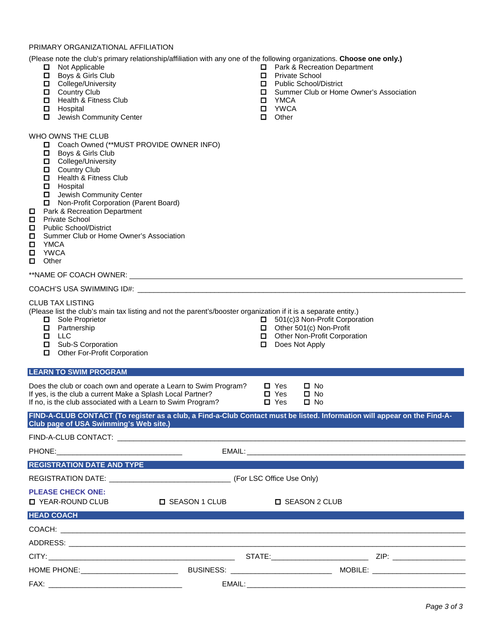#### PRIMARY ORGANIZATIONAL AFFILIATION

(Please note the club's primary relationship/affiliation with any one of the following organizations. **Choose one only.)**

- Not Applicable
- Boys & Girls Club
- D College/University
- **D** Country Club
- $\Box$  Health & Fitness Club
- **D** Hospital
- $\Box$  Jewish Community Center

## WHO OWNS THE CLUB

- **D** Coach Owned (\*\*MUST PROVIDE OWNER INFO)
- **D** Boys & Girls Club
- **D** College/University
- **Q** Country Club
- **D** Health & Fitness Club
- **D** Hospital
- $\Box$  Jewish Community Center
- **Non-Profit Corporation (Parent Board)**
- $\Box$  Park & Recreation Department
- 
- □ Private School<br>□ Public School/D
- □ Public School/District<br>□ Summer Club or Hom □ Summer Club or Home Owner's Association<br>□ YMCA
- 
- O YMCA<br>O YWCA
- □ YWCA<br>□ Other Other

#### \*\*NAME OF COACH OWNER:

#### COACH'S USA SWIMMING ID#: \_\_\_\_\_\_\_\_\_\_\_\_\_\_\_\_\_\_\_\_\_\_\_\_\_\_\_\_\_\_\_\_\_\_\_\_\_\_\_\_\_\_\_\_\_\_\_\_\_\_\_\_\_\_\_\_\_\_\_\_\_\_\_\_\_\_\_\_\_\_\_\_\_\_\_\_\_\_\_\_\_

#### CLUB TAX LISTING

(Please list the club's main tax listing and not the parent's/booster organization if it is a separate entity.)

- □ Sole Proprietor
- **D** Partnership
- **LLC**
- □ Sub-S Corporation
- Other For-Profit Corporation

### **LEARN TO SWIM PROGRAM**

Does the club or coach own and operate a Learn to Swim Program?  $\Box$  Yes  $\Box$  No If yes, is the club a current Make a Splash Local Partner?  $\Box$  Yes  $\Box$  No If yes, is the club a current Make a Splash Local Partner?  $\Box$  Yes  $\Box$  No If no. is the club associated with a Learn to Swim Program?  $\Box$  Yes  $\Box$  No If no, is the club associated with a Learn to Swim Program?

Does Not Apply

 $\Box$  501(c)3 Non-Profit Corporation<br> $\Box$  Other 501(c) Non-Profit  $\Box$  Other 501(c) Non-Profit<br> $\Box$  Other Non-Profit Corpor Other Non-Profit Corporation

| FIND-A-CLUB CONTACT (To register as a club, a Find-a-Club Contact must be listed. Information will appear on the Find-A- |  |
|--------------------------------------------------------------------------------------------------------------------------|--|
| Club page of USA Swimming's Web site.)                                                                                   |  |

## FIND-A-CLUB CONTACT: \_\_\_\_\_\_\_\_\_\_\_\_\_\_\_\_\_\_\_\_\_\_\_\_\_\_\_\_\_\_\_\_\_\_\_\_\_\_\_\_\_\_\_\_\_\_\_\_\_\_\_\_\_\_\_\_\_\_\_\_\_\_\_\_\_\_\_\_\_\_\_\_\_\_\_\_\_\_\_\_\_\_\_\_\_\_ PHONE:\_\_\_\_\_\_\_\_\_\_\_\_\_\_\_\_\_\_\_\_\_\_\_\_\_\_\_\_\_\_\_ EMAIL: \_\_\_\_\_\_\_\_\_\_\_\_\_\_\_\_\_\_\_\_\_\_\_\_\_\_\_\_\_\_\_\_\_\_\_\_\_\_\_\_\_\_\_\_\_\_\_\_\_\_\_\_\_\_ **REGISTRATION DATE AND TYPE** REGISTRATION DATE: \_\_\_\_\_\_\_\_\_\_\_\_\_\_\_\_\_\_\_\_\_\_\_\_\_\_\_\_\_\_ (For LSC Office Use Only) **PLEASE CHECK ONE: □** YEAR-ROUND CLUB □ SEASON 1 CLUB □ SEASON 2 CLUB **HEAD COACH** COACH: \_\_\_\_\_\_\_\_\_\_\_\_\_\_\_\_\_\_\_\_\_\_\_\_\_\_\_\_\_\_\_\_\_\_\_\_\_\_\_\_\_\_\_\_\_\_\_\_\_\_\_\_\_\_\_\_\_\_\_\_\_\_\_\_\_\_\_\_\_\_\_\_\_\_\_\_\_\_\_\_\_\_\_\_\_\_\_\_\_\_\_\_\_\_\_\_\_\_\_\_ ADDRESS: \_\_\_\_\_\_\_\_\_\_\_\_\_\_\_\_\_\_\_\_\_\_\_\_\_\_\_\_\_\_\_\_\_\_\_\_\_\_\_\_\_\_\_\_\_\_\_\_\_\_\_\_\_\_\_\_\_\_\_\_\_\_\_\_\_\_\_\_\_\_\_\_\_\_\_\_\_\_\_\_\_\_\_\_\_\_\_\_\_\_\_\_\_\_\_\_\_\_ CITY: \_\_\_\_\_\_\_\_\_\_\_\_\_\_\_\_\_\_\_\_\_\_\_\_\_\_\_\_\_\_\_\_\_\_\_\_\_\_\_\_\_\_\_\_\_\_ STATE:\_\_\_\_\_\_\_\_\_\_\_\_\_\_\_\_\_\_\_\_\_\_\_\_ ZIP: \_\_\_\_\_\_\_\_\_\_\_\_\_\_\_\_\_\_ HOME PHONE:\_\_\_\_\_\_\_\_\_\_\_\_\_\_\_\_\_\_\_\_\_\_\_\_ BUSINESS: \_\_\_\_\_\_\_\_\_\_\_\_\_\_\_\_\_\_\_\_\_\_\_\_\_ MOBILE: \_\_\_\_\_\_\_\_\_\_\_\_\_\_\_\_\_\_\_\_\_\_\_ FAX: \_\_\_\_\_\_\_\_\_\_\_\_\_\_\_\_\_\_\_\_\_\_\_\_\_\_\_\_\_\_\_\_\_ EMAIL: \_\_\_\_\_\_\_\_\_\_\_\_\_\_\_\_\_\_\_\_\_\_\_\_\_\_\_\_\_\_\_\_\_\_\_\_\_\_\_\_\_\_\_\_\_\_\_\_\_\_\_\_\_\_

- □ Park & Recreation Department<br>□ Private School
- □ Private School<br>□ Public School/D
- $\Box$  Public School/District<br> $\Box$  Summer Club or Hom
- Summer Club or Home Owner's Association
- **D** YMCA
- □ YWCA<br>□ Other
- **Other**